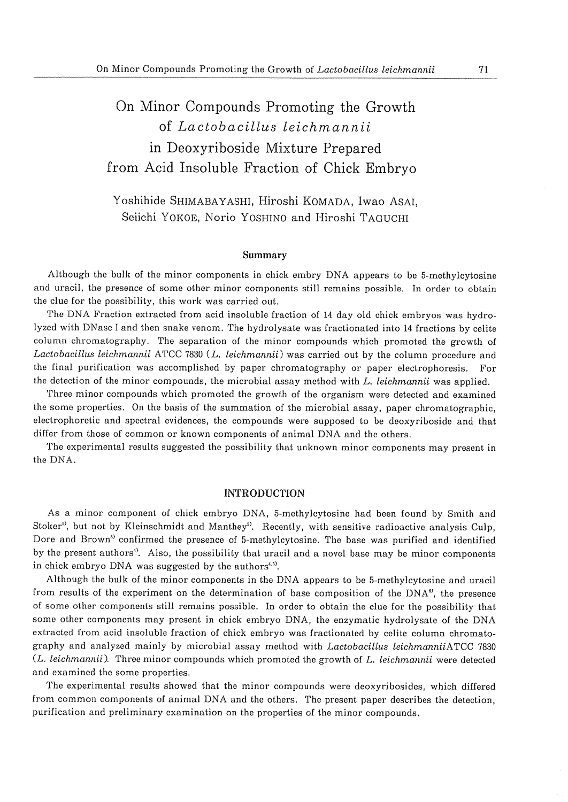# On Minor Compounds Promoting the Growth of Lactobacillus leichmannii in Deoxyriboside Mixture Prepared from Acid Insoluble Fraction of Chick Embryo

# Yoshihide SHIMABAYASHI, Hiroshi KOMADA, Iwao ASAI, Seiichi YOKOE, Norio YOSHINO and Hiroshi TAGUCHI

# Summary

Although the bulk of the minor components in chick embry DNA appears to be 5-methylcytosine and uracil, the presence of some other minor components still remains possible. In order to obtain the clue for the possibility, this work was carried out.

The DNA Fraction extracted from acid insoluble fraction of 14 day old chick embryos was hydrolyzed with DNase I and then snake venom. The hydrolysate was fractionated into 14 fractions by celite column chromatography. The separation of the minor compounds which promoted the growth of Lactobacillus leichmannii ATCC 7830 (L. leichmannii) was carried out by the column procedure and the final purification was accomplished by paper chromatography or paper electrophoresis. For the detection of the minor compounds, the microbial assay method with L. leichmannii was applied.

Three minor compounds which promoted the growth of the organism were detected and examined the some properties. On the basis of the summation of the microbial assay, paper chromatographic, electrophoretic and spectral evidences, the compounds were supposed to be deoxyriboside and that differ from those of common or known components of animal DNA and the others.

The experimental results suggested the possibility that unknown minor components may present in the DNA.

# **INTRODUCTION**

As a minor component of chick embryo DNA, 5-methylcytosine had been found by Smith and Stoker<sup>1</sup>, but not by Kleinschmidt and Manthey<sup>2</sup>. Recently, with sensitive radioactive analysis Culp, Dore and Brown<sup>3</sup> confirmed the presence of 5-methylcytosine. The base was purified and identified by the present authors<sup>4</sup>. Also, the possibility that uracil and a novel base may be minor components in chick embryo DNA was suggested by the authors<sup>4,5)</sup>.

Although the bulk of the minor components in the DNA appears to be 5-methylcytosine and uracil from results of the experiment on the determination of base composition of the  $DNA^{\omega}$ , the presence of some other components still remains possible. In order to obtain the clue for the possibility that some other components may present in chick embryo DNA, the enzymatic hydrolysate of the DNA extracted from acid insoluble fraction of chick embryo was fractionated by celite column chromatography and analyzed mainly by microbial assay method with Lactobacillus leichmanniiATCC 7830 (L. leichmannii). Three minor compounds which promoted the growth of L. leichmannii were detected and examined the some properties.

The experimental results showed that the minor compounds were deoxyribosides, which differed from common components of animal DNA and the others. The present paper describes the detection. purification and preliminary examination on the properties of the minor compounds.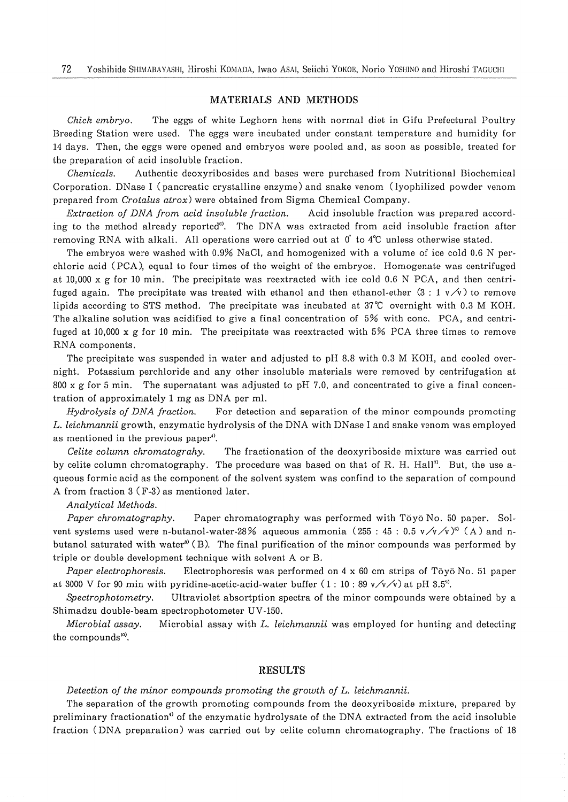# MATERIALS AND METHODS

Chick embryo. The eggs of white Leghorn hens with normal diet in Gifu Prefectural Poultry Breeding Station were used. The eggs were incubated under constant temperature and humidity for 14 days. Then, the eggs were opened and embryos were pooled and, as soon as possible, treated for the preparation of acid insoluble fraction.

Authentic deoxyribosides and bases were purchased from Nutritional Biochemical Chemicals. Corporation. DNase I (pancreatic crystalline enzyme) and snake venom (lyophilized powder venom prepared from *Crotalus atrox*) were obtained from Sigma Chemical Company.

Extraction of DNA from acid insoluble fraction. Acid insoluble fraction was prepared according to the method already reported<sup>®</sup>. The DNA was extracted from acid insoluble fraction after removing RNA with alkali. All operations were carried out at  $0^{\circ}$  to  $4^{\circ}$ C unless otherwise stated.

The embryos were washed with 0.9% NaCl, and homogenized with a volume of ice cold 0.6 N perchloric acid (PCA), equal to four times of the weight of the embryos. Homogenate was centrifuged at 10,000 x g for 10 min. The precipitate was reextracted with ice cold 0.6 N PCA, and then centrifuged again. The precipitate was treated with ethanol and then ethanol-ether  $(3:1 \sqrt{x})$  to remove lipids according to STS method. The precipitate was incubated at 37°C overnight with 0.3 M KOH. The alkaline solution was acidified to give a final concentration of 5% with conc. PCA, and centrifuged at 10,000 x g for 10 min. The precipitate was reextracted with  $5\%$  PCA three times to remove RNA components.

The precipitate was suspended in water and adjusted to pH 8.8 with 0.3 M KOH, and cooled overnight. Potassium perchloride and any other insoluble materials were removed by centrifugation at The supernatant was adjusted to pH 7.0, and concentrated to give a final concen- $800 \times g$  for 5 min. tration of approximately 1 mg as DNA per ml.

Hydrolysis of DNA fraction. For detection and separation of the minor compounds promoting L. leichmannii growth, enzymatic hydrolysis of the DNA with DNase I and snake venom was employed as mentioned in the previous paper<sup>4</sup>.

Celite column chromatograhy. The fractionation of the deoxyriboside mixture was carried out by celite column chromatography. The procedure was based on that of R. H. Hall<sup>2</sup>. But, the use aqueous formic acid as the component of the solvent system was confind to the separation of compound A from fraction 3 (F-3) as mentioned later.

# Analytical Methods.

Paper chromatography. Paper chromatography was performed with Tōyō No. 50 paper. Solvent systems used were n-butanol-water-28% aqueous ammonia (255 : 45 : 0.5  $\sqrt{\sqrt{2}}$ )<sup>6</sup> (A) and nbutanol saturated with water<sup>\*</sup> (B). The final purification of the minor compounds was performed by triple or double development technique with solvent A or B.

Paper electrophoresis. Electrophoresis was performed on  $4 \times 60$  cm strips of Tōyō No. 51 paper at 3000 V for 90 min with pyridine-acetic-acid-water buffer  $(1:10:89 \sqrt{\sqrt{x}})$  at pH 3.5<sup>9</sup>.

Spectrophotometry. Ultraviolet absortption spectra of the minor compounds were obtained by a Shimadzu double-beam spectrophotometer UV-150.

Microbial assay with L. leichmannii was employed for hunting and detecting Microbial assay. the compounds<sup>10</sup>.

# **RESULTS**

# Detection of the minor compounds promoting the growth of L. leichmannii.

The separation of the growth promoting compounds from the deoxyriboside mixture, prepared by preliminary fractionation<sup>4</sup> of the enzymatic hydrolysate of the DNA extracted from the acid insoluble fraction (DNA preparation) was carried out by celite column chromatography. The fractions of 18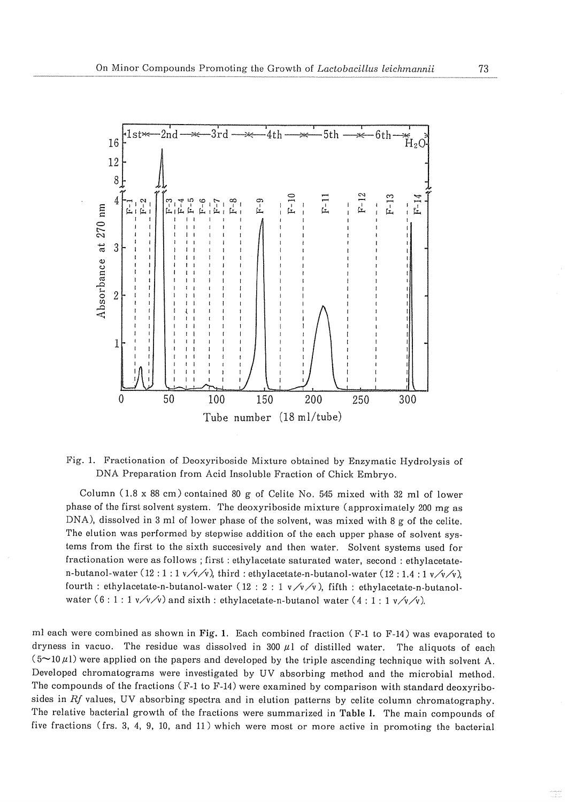

# Fig. 1. Fractionation of Deoxyriboside Mixture obtained by Enzymatic Hydrolysis of DNA Preparation from Acid Insoluble Fraction of Chick Embryo.

Column (1.8 x 88 cm) contained 80 g of Celite No. 545 mixed with 32 ml of lower phase of the first solvent system. The deoxyriboside mixture (approximately 200 mg as  $DNA$ , dissolved in 3 ml of lower phase of the solvent, was mixed with 8 g of the celite. The elution was performed by stepwise addition of the each upper phase of solvent systems from the first to the sixth succesively and then water. Solvent systems used for fractionation were as follows ; first : ethylacetate saturated water, second : ethylacetaten-butanol-water (12:1:1 $\sqrt{\sqrt{2}}$ ), third: ethylacetate-n-butanol-water (12:1.4:1 $\sqrt{\sqrt{2}}$ ) fourth : ethylacetate-n-butanol-water (12 : 2 : 1  $v/v/v$ ), fifth : ethylacetate-n-butanolwater  $(6:1:1 \frac{v}{v})$  and sixth : ethylacetate-n-butanol water  $(4:1:1 \frac{v}{v})$ .

ml each were combined as shown in Fig. 1. Each combined fraction  $(F-1)$  to  $F-14$ ) was evaporated to dryness in vacuo. The residue was dissolved in 300  $\mu$ 1 of distilled water. The aliquots of each  $(5-10 \mu l)$  were applied on the papers and developed by the triple ascending technique with solvent A. Developed chromatograms were investigated by UV absorbing method and the microbial method. The compounds of the fractions (F-1 to F-14) were examined by comparison with standard deoxyribosides in  $Rf$  values, UV absorbing spectra and in elution patterns by celite column chromatography. The relative bacterial growth of the fractions were summarized in Table I. The main compounds of five fractions (frs. 3, 4, 9, 10, and 11) which were most or more active in promoting the bacterial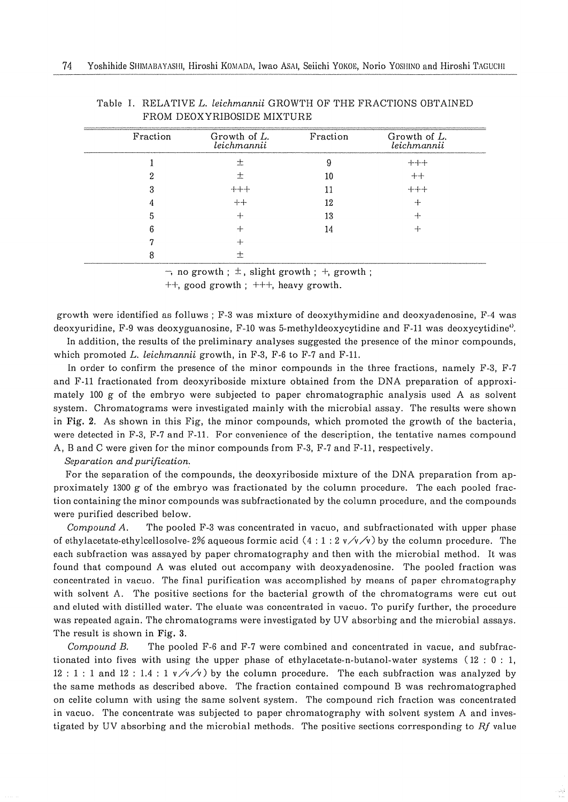| Fraction | Growth of L.<br>leichmannii | Fraction | Growth of L.<br>leichmannii |
|----------|-----------------------------|----------|-----------------------------|
|          | ≁                           |          | $+++$                       |
|          |                             | 10       | ┿┿                          |
|          | ╶╂╾╍╊╾╍╂╾                   |          | --+--+-                     |
|          | -1--+                       | 12       |                             |
|          |                             | 13       |                             |
|          |                             | 14       |                             |
|          | ⊶⊷                          |          |                             |
|          |                             |          |                             |

| Table I. RELATIVE L. leichmannii GROWTH OF THE FRACTIONS OBTAINED |  |  |  |
|-------------------------------------------------------------------|--|--|--|
| FROM DEOXYRIBOSIDE MIXTHER                                        |  |  |  |

 $\overline{\phantom{a}}$ , no growth :  $\pm$ , slight growth :  $\overline{\phantom{a}}$ , growth :

 $++$ , good growth :  $++$ , heavy growth.

growth were identified as folluws ; F-3 was mixture of deoxythymidine and deoxyadenosine, F-4 was deoxyuridine, F-9 was deoxyguanosine, F-10 was 5-methyldeoxycytidine and F-11 was deoxycytidine<sup>4</sup>.

In addition, the results of the preliminary analyses suggested the presence of the minor compounds. which promoted  $L$ , *leichmannii* growth, in  $F-3$ ,  $F-6$  to  $F-7$  and  $F-11$ .

In order to confirm the presence of the minor compounds in the three fractions, namely F-3, F-7 and F-11 fractionated from deoxyriboside mixture obtained from the DNA preparation of approximately 100 g of the embryo were subjected to paper chromatographic analysis used A as solvent system. Chromatograms were investigated mainly with the microbial assay. The results were shown in Fig. 2. As shown in this Fig. the minor compounds, which promoted the growth of the bacteria. were detected in F-3, F-7 and F-11. For convenience of the description, the tentative names compound A, B and C were given for the minor compounds from F-3, F-7 and F-11, respectively.

Separation and purification.

For the separation of the compounds, the deoxyriboside mixture of the DNA preparation from approximately 1300 g of the embryo was fractionated by the column procedure. The each pooled fraction containing the minor compounds was subfractionated by the column procedure, and the compounds were purified described below.

Compound A. The pooled F-3 was concentrated in vacuo, and subfractionated with upper phase of ethylacetate-ethylcellosolve-2% aqueous formic acid (4:1:2  $\sqrt{\sqrt{2}}$ ) by the column procedure. The each subfraction was assayed by paper chromatography and then with the microbial method. It was found that compound A was eluted out accompany with deoxyadenosine. The pooled fraction was concentrated in vacuo. The final purification was accomplished by means of paper chromatography with solvent A. The positive sections for the bacterial growth of the chromatograms were cut out and eluted with distilled water. The eluate was concentrated in vacuo. To purify further, the procedure was repeated again. The chromatograms were investigated by UV absorbing and the microbial assays. The result is shown in Fig. 3.

Compound B. The pooled F-6 and F-7 were combined and concentrated in vacue, and subfractionated into fives with using the upper phase of ethylacetate-n-butanol-water systems  $(12 : 0 : 1, 1)$ 12: 1: 1 and 12: 1.4: 1  $v/v/v$  by the column procedure. The each subfraction was analyzed by the same methods as described above. The fraction contained compound B was rechromatographed on celite column with using the same solvent system. The compound rich fraction was concentrated in vacuo. The concentrate was subjected to paper chromatography with solvent system A and investigated by UV absorbing and the microbial methods. The positive sections corresponding to Rf value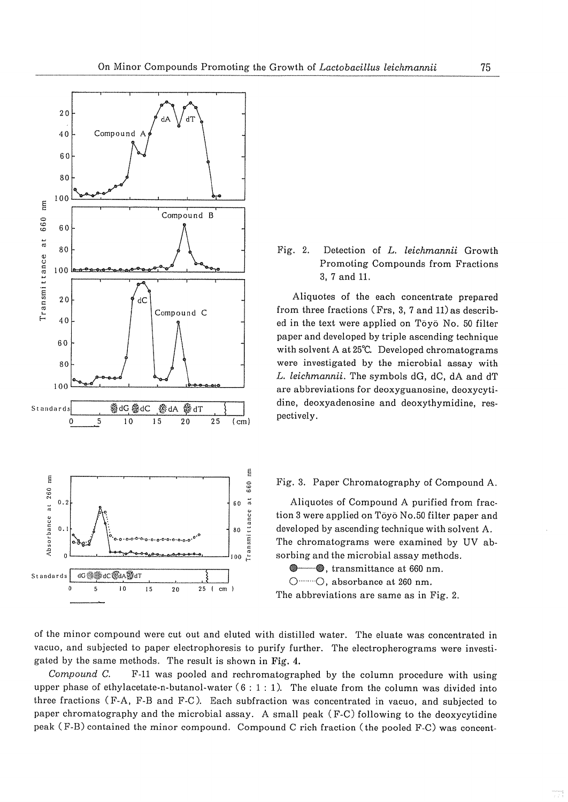

#### Detection of L. leichmannii Growth Fig. 2. Promoting Compounds from Fractions 3, 7 and 11.

Aliquotes of the each concentrate prepared from three fractions (Frs. 3, 7 and 11) as described in the text were applied on Tōvō No. 50 filter paper and developed by triple ascending technique with solvent A at 25°C. Developed chromatograms were investigated by the microbial assay with L. leichmannii. The symbols dG, dC, dA and dT are abbreviations for deoxyguanosine, deoxycytidine, deoxyadenosine and deoxythymidine, respectively.

# Fig. 3. Paper Chromatography of Compound A.

Aliquotes of Compound A purified from fraction 3 were applied on Tōyō No.50 filter paper and developed by ascending technique with solvent A. The chromatograms were examined by UV absorbing and the microbial assay methods.

**C**, transmittance at 660 nm.

O ........ O, absorbance at 260 nm.

The abbreviations are same as in Fig. 2.

of the minor compound were cut out and eluted with distilled water. The eluate was concentrated in vacuo, and subjected to paper electrophoresis to purify further. The electropherograms were investigated by the same methods. The result is shown in Fig. 4.

F-11 was pooled and rechromatographed by the column procedure with using Compound C. upper phase of ethylacetate-n-butanol-water  $(6:1:1)$ . The eluate from the column was divided into three fractions (F-A, F-B and F-C). Each subfraction was concentrated in vacuo, and subjected to paper chromatography and the microbial assay. A small peak (F-C) following to the deoxycytidine peak (F-B) contained the minor compound. Compound C rich fraction (the pooled F-C) was concent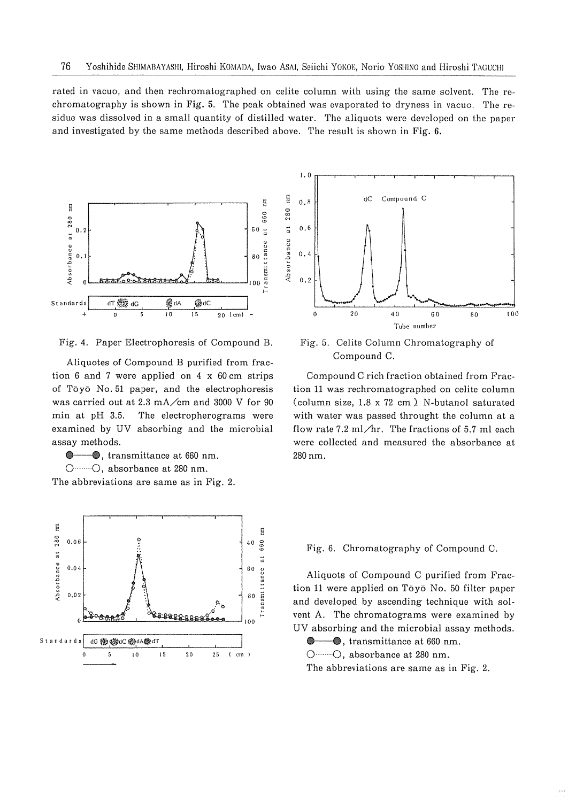rated in vacuo, and then rechromatographed on celite column with using the same solvent. The rechromatography is shown in Fig. 5. The peak obtained was evaporated to dryness in vacuo. The residue was dissolved in a small quantity of distilled water. The aliquots were developed on the paper and investigated by the same methods described above. The result is shown in Fig. 6.



Fig. 4. Paper Electrophoresis of Compound B.

Aliquotes of Compound B purified from fraction 6 and 7 were applied on 4  $\times$  60 cm strips of Tōyō No. 51 paper, and the electrophoresis was carried out at 2.3 mA/cm and 3000 V for 90 min at pH 3.5. The electropherograms were examined by UV absorbing and the microbial assay methods.

**C** . transmittance at 660 nm. O ........ O, absorbance at 280 nm.

The abbreviations are same as in Fig. 2.





Fig. 5. Celite Column Chromatography of Compound C.

Compound C rich fraction obtained from Fraction 11 was rechromatographed on celite column (column size, 1.8 x 72 cm). N-butanol saturated with water was passed throught the column at a flow rate 7.2 ml/hr. The fractions of 5.7 ml each were collected and measured the absorbance at 280 nm.

## Fig. 6. Chromatography of Compound C.

Aliquots of Compound C purified from Fraction 11 were applied on Tōyō No. 50 filter paper and developed by ascending technique with solvent A. The chromatograms were examined by UV absorbing and the microbial assay methods.

**●** ●, transmittance at 660 nm.

O ........ O, absorbance at 280 nm.

The abbreviations are same as in Fig. 2.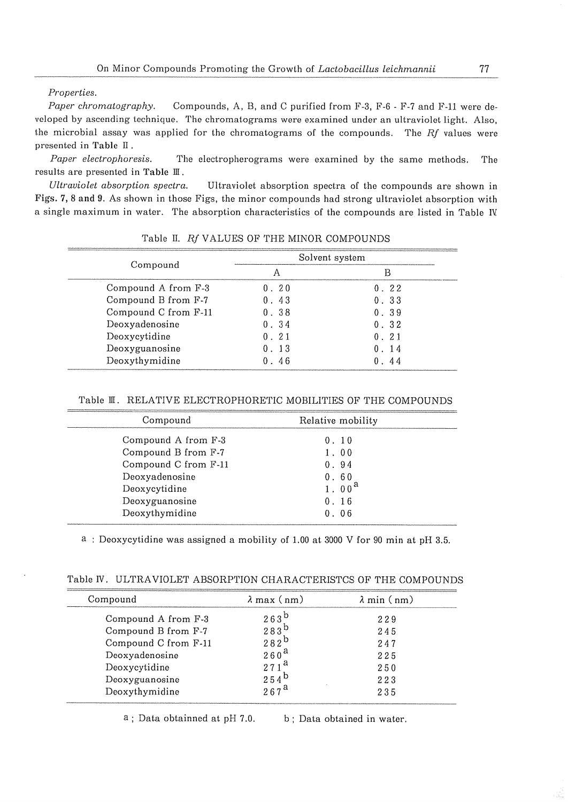Properties.

Paper chromatography. Compounds, A, B, and C purified from F-3, F-6 - F-7 and F-11 were developed by ascending technique. The chromatograms were examined under an ultraviolet light. Also, the microbial assay was applied for the chromatograms of the compounds. The Rf values were presented in Table II.

Paper electrophoresis. The electropherograms were examined by the same methods. The results are presented in Table III.

Ultraviolet absorption spectra. Ultraviolet absorption spectra of the compounds are shown in Figs. 7, 8 and 9. As shown in those Figs, the minor compounds had strong ultraviolet absorption with a single maximum in water. The absorption characteristics of the compounds are listed in Table IV.

|                      | Solvent system |      |  |
|----------------------|----------------|------|--|
| Compound             |                |      |  |
| Compound A from F-3  | 0.20           | 0.22 |  |
| Compound B from F-7  | 0.43           | 0.33 |  |
| Compound C from F-11 | 0.38           | 0.39 |  |
| Deoxyadenosine       | 0.34           | 0.32 |  |
| Deoxycytidine        | 0.21           | 0.21 |  |
| Deoxyguanosine       | . 13           | 0.14 |  |
| Deoxythymidine       | -46            | -44  |  |

Table II. Rf VALUES OF THE MINOR COMPOUNDS

# Table II. RELATIVE ELECTROPHORETIC MOBILITIES OF THE COMPOUNDS

| Compound             | Relative mobility |  |
|----------------------|-------------------|--|
| Compound A from F-3  | 0.10              |  |
| Compound B from F-7  | 1.00              |  |
| Compound C from F-11 | 0.94              |  |
| Deoxyadenosine       | 0.60              |  |
| Deoxycytidine        | 1.00 <sup>a</sup> |  |
| Deoxyguanosine       | 0.16              |  |
| Deoxythymidine       | 0.06              |  |

a: Deoxycytidine was assigned a mobility of 1.00 at 3000 V for 90 min at pH 3.5.

| Table IV. ULTRAVIOLET ABSORPTION CHARACTERISTCS OF THE COMPOUNDS |  |  |  |  |  |  |  |
|------------------------------------------------------------------|--|--|--|--|--|--|--|
|------------------------------------------------------------------|--|--|--|--|--|--|--|

| Compound             | $\lambda$ max (nm) | $\lambda$ min $(nm)$ |
|----------------------|--------------------|----------------------|
| Compound A from F-3  | $263^{\circ}$      | 229                  |
| Compound B from F-7  | 283 <sup>D</sup>   | 245                  |
| Compound C from F-11 | $282^{\circ}$      | 247                  |
| Deoxyadenosine       | 260'               | 225                  |
| Deoxycytidine        |                    | 250                  |
| Deoxyguanosine       | 2545               | 223                  |
| Deoxythymidine       | $267^{\text{h}}$   | 235                  |

a; Data obtainned at pH 7.0. b; Data obtained in water.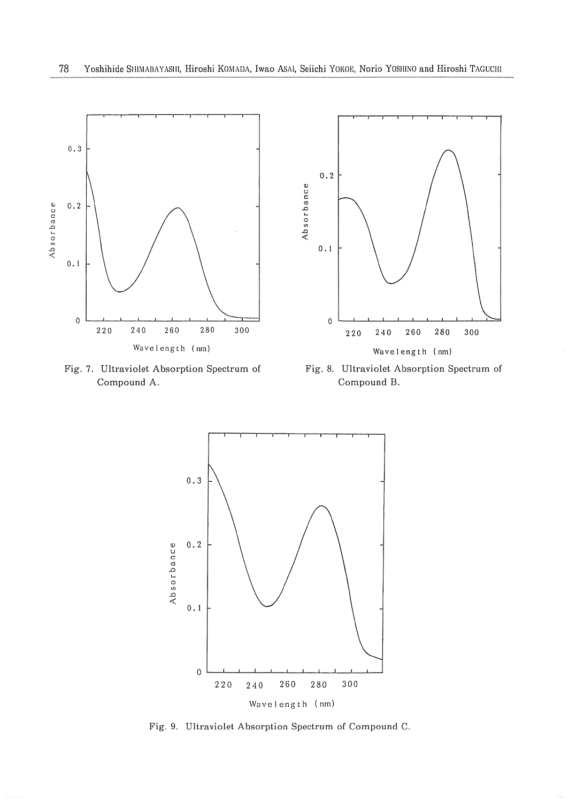

Fig. 7. Ultraviolet Absorption Spectrum of Compound A.

Fig. 8. Ultraviolet Absorption Spectrum of Compound B.



Fig. 9. Ultraviolet Absorption Spectrum of Compound C.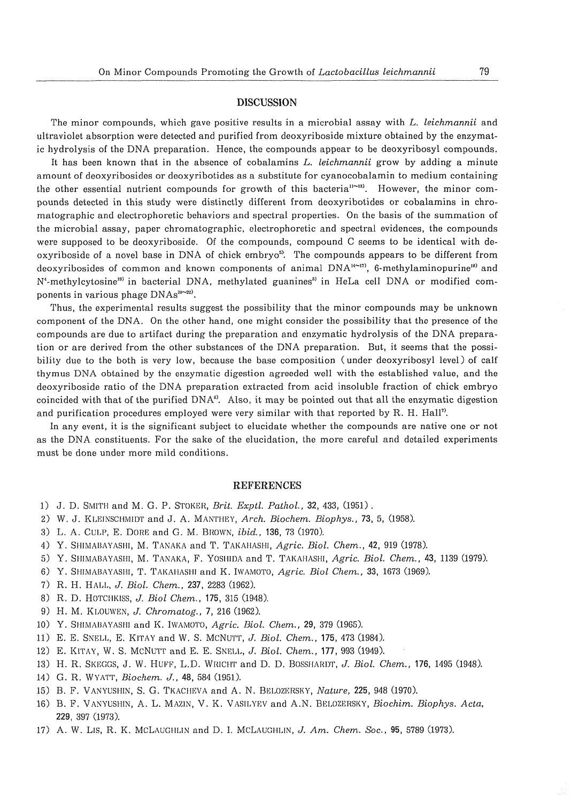#### **DISCUSSION**

The minor compounds, which gave positive results in a microbial assay with L. leichmannii and ultraviolet absorption were detected and purified from deoxyriboside mixture obtained by the enzymatic hydrolysis of the DNA preparation. Hence, the compounds appear to be deoxyribosyl compounds.

It has been known that in the absence of cobalamins L. leichmannii grow by adding a minute amount of deoxyribosides or deoxyribotides as a substitute for cyanocobalamin to medium containing the other essential nutrient compounds for growth of this bacteria<sup>11~13)</sup>. However, the minor compounds detected in this study were distinctly different from deoxyribotides or cobalamins in chromatographic and electrophoretic behaviors and spectral properties. On the basis of the summation of the microbial assay, paper chromatographic, electrophoretic and spectral evidences, the compounds were supposed to be deoxyriboside. Of the compounds, compound C seems to be identical with deoxyriboside of a novel base in DNA of chick embryo<sup>5</sup>. The compounds appears to be different from deoxyribosides of common and known components of animal  $DNA^{\omega(n)}$ , 6-methylaminopurine<sup>18</sup> and N<sup>4</sup>-methylcytosine<sup>19</sup> in bacterial DNA, methylated guanines<sup>31</sup> in HeLa cell DNA or modified components in various phage DNAs<sup>20-22)</sup>.

Thus, the experimental results suggest the possibility that the minor compounds may be unknown component of the DNA. On the other hand, one might consider the possibility that the presence of the compounds are due to artifact during the preparation and enzymatic hydrolysis of the DNA preparation or are derived from the other substances of the DNA preparation. But, it seems that the possibility due to the both is very low, because the base composition (under deoxyribosyl level) of calf thymus DNA obtained by the enzymatic digestion agreeded well with the established value, and the deoxyriboside ratio of the DNA preparation extracted from acid insoluble fraction of chick embryo coincided with that of the purified DNA<sup>®</sup>. Also, it may be pointed out that all the enzymatic digestion and purification procedures employed were very similar with that reported by R. H. Hall".

In any event, it is the significant subject to elucidate whether the compounds are native one or not as the DNA constituents. For the sake of the elucidation, the more careful and detailed experiments must be done under more mild conditions.

## **REFERENCES**

- 1) J. D. SMITH and M. G. P. STOKER, Brit. Exptl. Pathol., 32, 433, (1951).
- 2) W. J. KLEINSCHMIDT and J. A. MANTHEY, Arch. Biochem. Biophys., 73, 5, (1958).
- 3) L. A. CULP, E. DORE and G. M. BROWN, ibid., 136, 73 (1970).
- 4) Y. SHIMABAYASHI, M. TANAKA and T. TAKAHASHI, Agric. Biol. Chem., 42, 919 (1978).
- 5) Y. SHIMABAYASHI, M. TANAKA, F. YOSHIDA and T. TAKAHASHI, Agric. Biol. Chem., 43, 1139 (1979).
- 6) Y. SHIMABAYASHI, T. TAKAHASHI and K. IWAMOTO, Agric. Biol Chem., 33, 1673 (1969).
- 7) R. H. HALL, J. Biol. Chem., 237, 2283 (1962).
- 8) R. D. HOTCHKISS, J. Biol Chem., 175, 315 (1948).
- 9) H. M. KLOUWEN, J. Chromatog., 7, 216 (1962).
- 10) Y. SHIMABAYASHI and K. IWAMOTO, Agric. Biol. Chem., 29, 379 (1965).
- 11) E. E. SNELL, E. KITAY and W. S. MCNUTT, J. Biol. Chem., 175, 473 (1984).
- 12) E. KITAY, W. S. MCNUTT and E. E. SNELL, J. Biol. Chem., 177, 993 (1949).
- 13) H. R. SKEGGS, J. W. HUFF, L.D. WRICHT and D. D. BOSSHARDT, J. Biol. Chem., 176, 1495 (1948).
- 14) G. R. WYATT, Biochem. J., 48, 584 (1951).
- 15) B. F. VANYUSHIN, S. G. TKACHEVA and A. N. BELOZERSKY, Nature, 225, 948 (1970).
- 16) B. F. VANYUSHIN, A. L. MAZIN, V. K. VASILYEV and A.N. BELOZERSKY, Biochim. Biophys. Acta, 229, 397 (1973).
- 17) A. W. Lis, R. K. MCLAUGHLIN and D. I. MCLAUGHLIN, J. Am. Chem. Soc., 95, 5789 (1973).